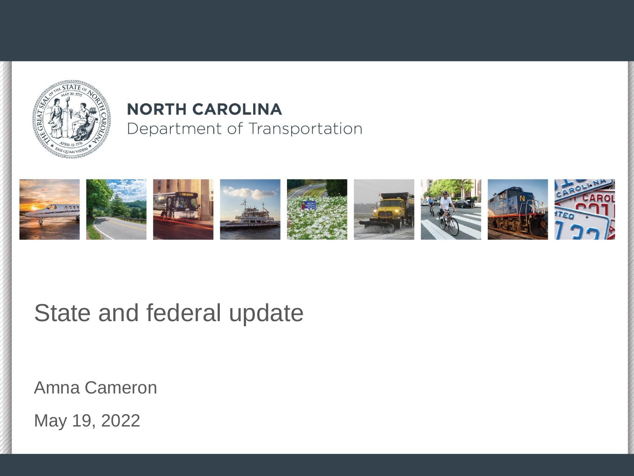

#### **NORTH CAROLINA** Department of Transportation



#### State and federal update

Amna Cameron

May 19, 2022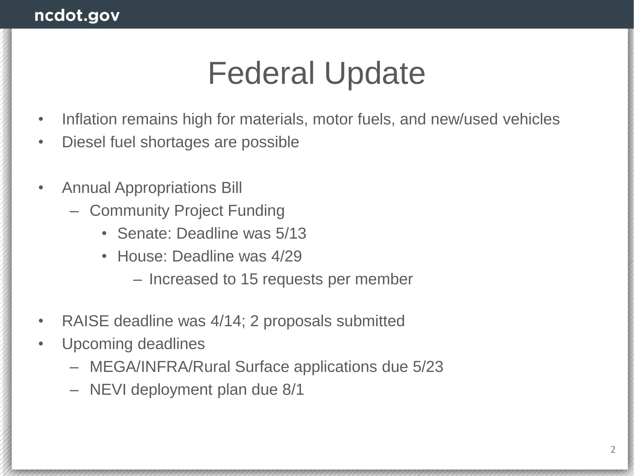# Federal Update

- Inflation remains high for materials, motor fuels, and new/used vehicles
- Diesel fuel shortages are possible
- Annual Appropriations Bill
	- Community Project Funding
		- Senate: Deadline was 5/13
		- House: Deadline was 4/29
			- Increased to 15 requests per member
- RAISE deadline was 4/14; 2 proposals submitted
- Upcoming deadlines
	- MEGA/INFRA/Rural Surface applications due 5/23
	- NEVI deployment plan due 8/1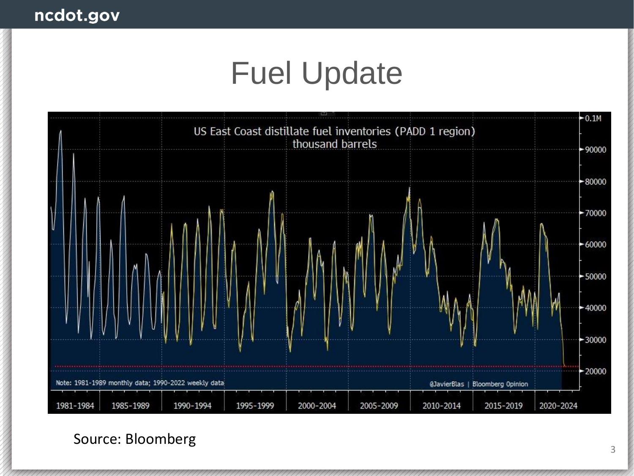# Fuel Update



Source: Bloomberg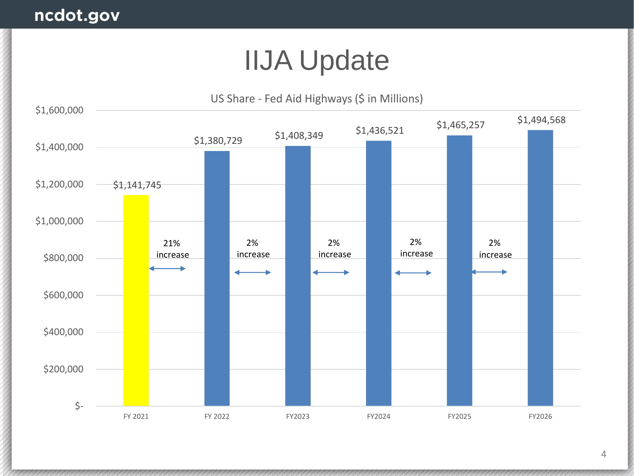### IIJA Update

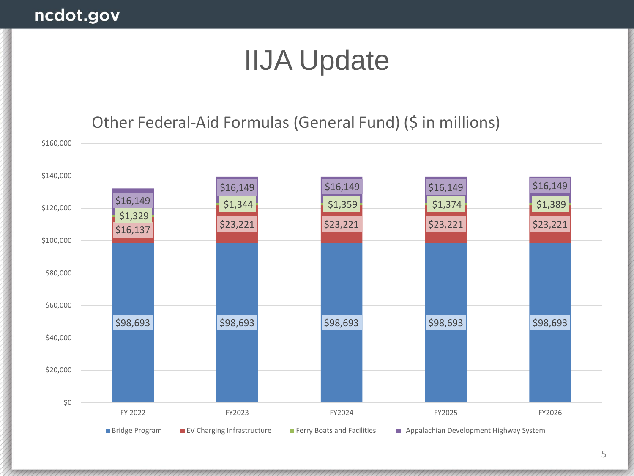#### ncdot.gov

## IIJA Update

#### Other Federal-Aid Formulas (General Fund) (\$ in millions)

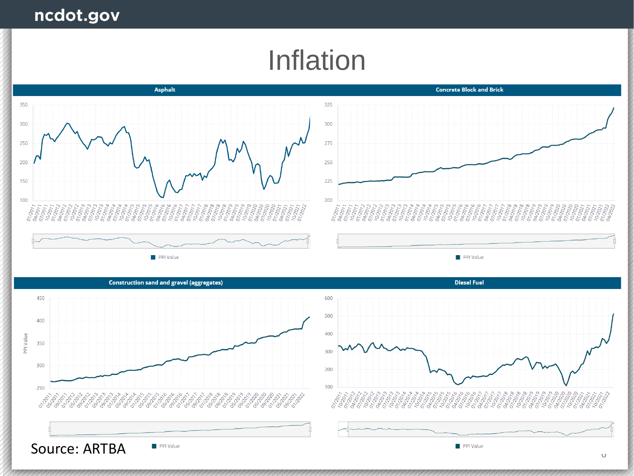### Inflation

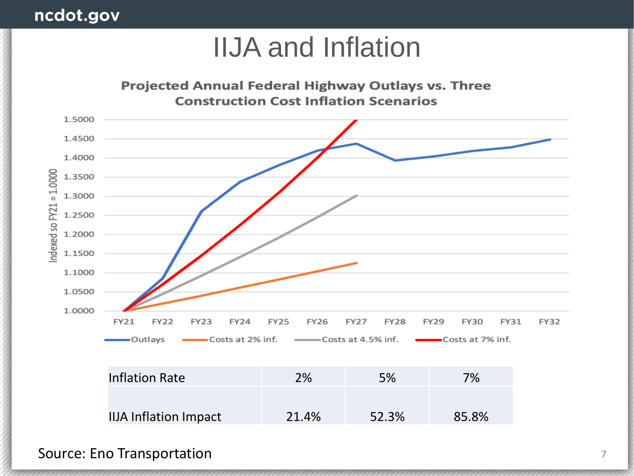#### ncdot.gov

### IIJA and Inflation



Source: Eno Transportation 7 and 7 and 7 and 7 and 7 and 7 and 7 and 7 and 7 and 7 and 7 and 7 and 7 and 7 and 7 and 7 and 7 and 7 and 7 and 7 and 7 and 7 and 7 and 7 and 7 and 7 and 7 and 7 and 7 and 7 and 7 and 7 and 7 a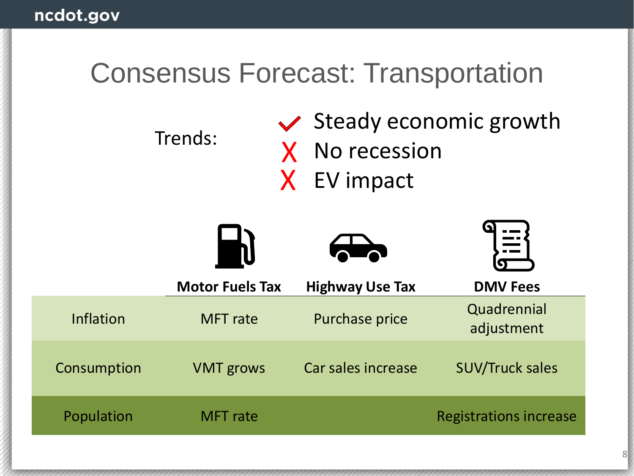### Consensus Forecast: Transportation

Trends:

 $\vee$  Steady economic growth X No recession X EV impact





|             | <b>Motor Fuels Tax</b> | <b>Highway Use Tax</b> | <b>DMV Fees</b>               |
|-------------|------------------------|------------------------|-------------------------------|
| Inflation   | <b>MFT</b> rate        | <b>Purchase price</b>  | Quadrennial<br>adjustment     |
| Consumption | <b>VMT</b> grows       | Car sales increase     | <b>SUV/Truck sales</b>        |
| Population  | MFT rate               |                        | <b>Registrations increase</b> |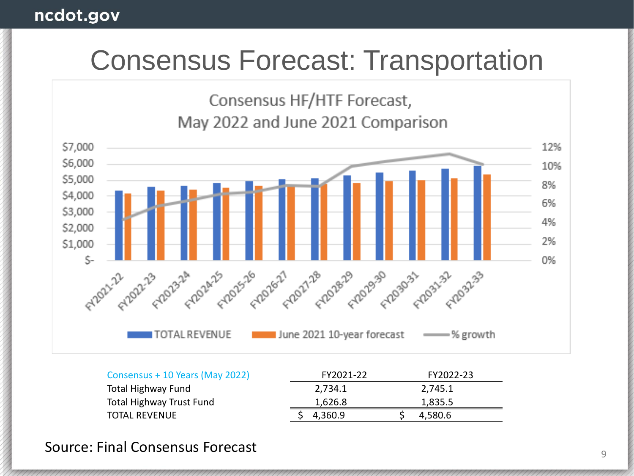### Consensus Forecast: Transportation

Consensus HF/HTF Forecast, May 2022 and June 2021 Comparison



| Consensus + 10 Years (May 2022) | FY2021-22 | FY2022-23 |  |
|---------------------------------|-----------|-----------|--|
| <b>Total Highway Fund</b>       | 2,734.1   | 2.745.1   |  |
| <b>Total Highway Trust Fund</b> | 1,626.8   | 1.835.5   |  |
| <b>TOTAL REVENUE</b>            | 4,360.9   | 4,580.6   |  |

Source: Final Consensus Forecast